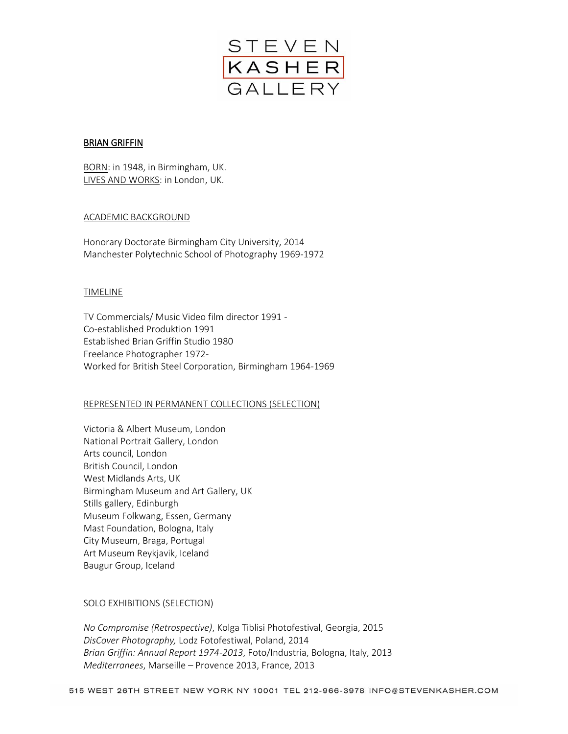

### **BRIAN GRIFFIN**

BORN: in 1948, in Birmingham, UK. LIVES AND WORKS: in London, UK.

### ACADEMIC BACKGROUND

Honorary Doctorate Birmingham City University, 2014 Manchester Polytechnic School of Photography 1969-1972

#### TIMELINE

TV Commercials/ Music Video film director 1991 - Co-established Produktion 1991 Established Brian Griffin Studio 1980 Freelance Photographer 1972- Worked for British Steel Corporation, Birmingham 1964-1969

# REPRESENTED IN PERMANENT COLLECTIONS (SELECTION)

Victoria & Albert Museum, London National Portrait Gallery, London Arts council, London British Council, London West Midlands Arts, UK Birmingham Museum and Art Gallery, UK Stills gallery, Edinburgh Museum Folkwang, Essen, Germany Mast Foundation, Bologna, Italy City Museum, Braga, Portugal Art Museum Reykjavik, Iceland Baugur Group, Iceland

#### SOLO EXHIBITIONS (SELECTION)

*No Compromise (Retrospective)*, Kolga Tiblisi Photofestival, Georgia, 2015 *DisCover Photography,* Lodz Fotofestiwal, Poland, 2014 *Brian Griffin: Annual Report 1974-2013*, Foto/Industria, Bologna, Italy, 2013 *Mediterranees*, Marseille – Provence 2013, France, 2013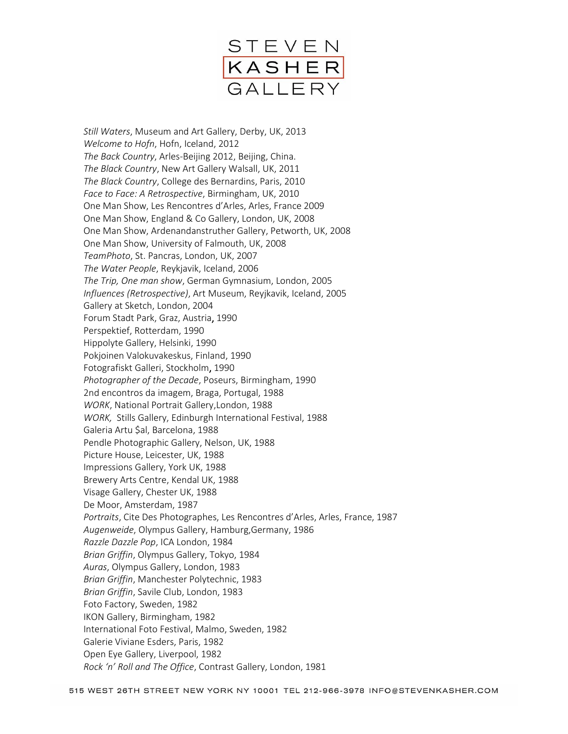

*Still Waters*, Museum and Art Gallery, Derby, UK, 2013 *Welcome to Hofn*, Hofn, Iceland, 2012 *The Back Country*, Arles-Beijing 2012, Beijing, China. *The Black Country*, New Art Gallery Walsall, UK, 2011 *The Black Country*, College des Bernardins, Paris, 2010 *Face to Face: A Retrospective*, Birmingham, UK, 2010 One Man Show, Les Rencontres d'Arles, Arles, France 2009 One Man Show, England & Co Gallery, London, UK, 2008 One Man Show, Ardenandanstruther Gallery, Petworth, UK, 2008 One Man Show, University of Falmouth, UK, 2008 *TeamPhoto*, St. Pancras, London, UK, 2007 *The Water People*, Reykjavik, Iceland, 2006 *The Trip, One man show*, German Gymnasium, London, 2005 *Influences (Retrospective)*, Art Museum, Reyjkavik, Iceland, 2005 Gallery at Sketch, London, 2004 Forum Stadt Park, Graz, Austria, 1990 Perspektief, Rotterdam, 1990 Hippolyte Gallery, Helsinki, 1990 Pokjoinen Valokuvakeskus, Finland, 1990 Fotografiskt Galleri, Stockholm, 1990 *Photographer of the Decade*, Poseurs, Birmingham, 1990 2nd encontros da imagem, Braga, Portugal, 1988 *WORK*, National Portrait Gallery,London, 1988 *WORK,* Stills Gallery, Edinburgh International Festival, 1988 Galeria Artu \$al, Barcelona, 1988 Pendle Photographic Gallery, Nelson, UK, 1988 Picture House, Leicester, UK, 1988 Impressions Gallery, York UK, 1988 Brewery Arts Centre, Kendal UK, 1988 Visage Gallery, Chester UK, 1988 De Moor, Amsterdam, 1987 *Portraits*, Cite Des Photographes, Les Rencontres d'Arles, Arles, France, 1987 *Augenweide*, Olympus Gallery, Hamburg,Germany, 1986 *Razzle Dazzle Pop*, ICA London, 1984 *Brian Griffin*, Olympus Gallery, Tokyo, 1984 *Auras*, Olympus Gallery, London, 1983 *Brian Griffin*, Manchester Polytechnic, 1983 *Brian Griffin*, Savile Club, London, 1983 Foto Factory, Sweden, 1982 IKON Gallery, Birmingham, 1982 International Foto Festival, Malmo, Sweden, 1982 Galerie Viviane Esders, Paris, 1982 Open Eye Gallery, Liverpool, 1982 *Rock 'n' Roll and The Office*, Contrast Gallery, London, 1981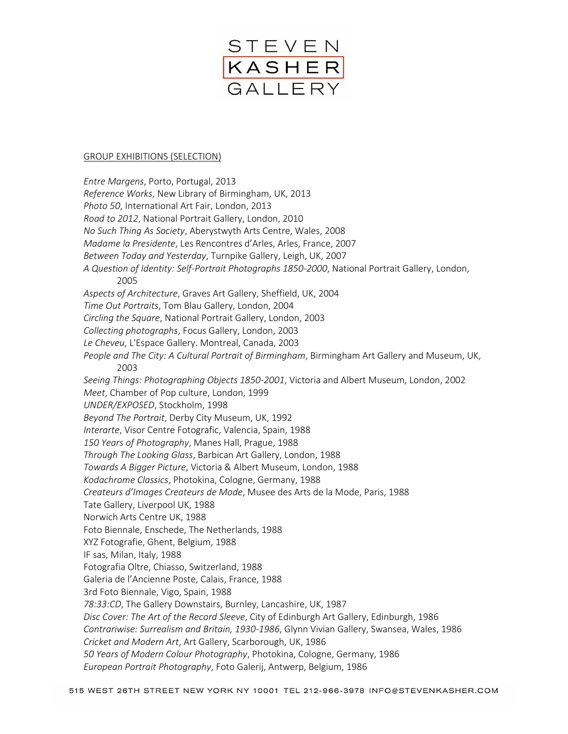

#### GROUP EXHIBITIONS (SELECTION)

*Entre Margens*, Porto, Portugal, 2013 *Reference Works*, New Library of Birmingham, UK, 2013 *Photo 50*, International Art Fair, London, 2013 *Road to 2012*, National Portrait Gallery, London, 2010 *No Such Thing As Society*, Aberystwyth Arts Centre, Wales, 2008 *Madame la Presidente*, Les Rencontres d'Arles, Arles, France, 2007 *Between Today and Yesterday*, Turnpike Gallery, Leigh, UK, 2007 *A Question of Identity: Self-Portrait Photographs 1850-2000*, National Portrait Gallery, London, 2005 *Aspects of Architecture*, Graves Art Gallery, Sheffield, UK, 2004 *Time Out Portraits*, Tom Blau Gallery, London, 2004 *Circling the Square*, National Portrait Gallery, London, 2003 *Collecting photographs*, Focus Gallery, London, 2003 *Le Cheveu*, L'Espace Gallery. Montreal, Canada, 2003 *People and The City: A Cultural Portrait of Birmingham*, Birmingham Art Gallery and Museum, UK, 2003 *Seeing Things: Photographing Objects 1850-2001*, Victoria and Albert Museum, London, 2002 *Meet*, Chamber of Pop culture, London, 1999 *UNDER/EXPOSED*, Stockholm, 1998 *Beyond The Portrait*, Derby City Museum, UK, 1992 *Interarte*, Visor Centre Fotografic, Valencia, Spain, 1988 *150 Years of Photography*, Manes Hall, Prague, 1988 *Through The Looking Glass*, Barbican Art Gallery, London, 1988 *Towards A Bigger Picture*, Victoria & Albert Museum, London, 1988 *Kodachrome Classics*, Photokina, Cologne, Germany, 1988 *Createurs d'Images Createurs de Mode*, Musee des Arts de la Mode, Paris, 1988 Tate Gallery, Liverpool UK, 1988 Norwich Arts Centre UK, 1988 Foto Biennale, Enschede, The Netherlands, 1988 XYZ Fotografie, Ghent, Belgium, 1988 IF sas, Milan, Italy, 1988 Fotografia Oltre, Chiasso, Switzerland, 1988 Galeria de l'Ancienne Poste, Calais, France, 1988 3rd Foto Biennale, Vigo, Spain, 1988 *78:33:CD*, The Gallery Downstairs, Burnley, Lancashire, UK, 1987 *Disc Cover: The Art of the Record Sleeve*, City of Edinburgh Art Gallery, Edinburgh, 1986 *Contrariwise: Surrealism and Britain, 1930-1986*, Glynn Vivian Gallery, Swansea, Wales, 1986 *Cricket and Modern Art*, Art Gallery, Scarborough, UK, 1986 *50 Years of Modern Colour Photography*, Photokina, Cologne, Germany, 1986 *European Portrait Photography*, Foto Galerij, Antwerp, Belgium, 1986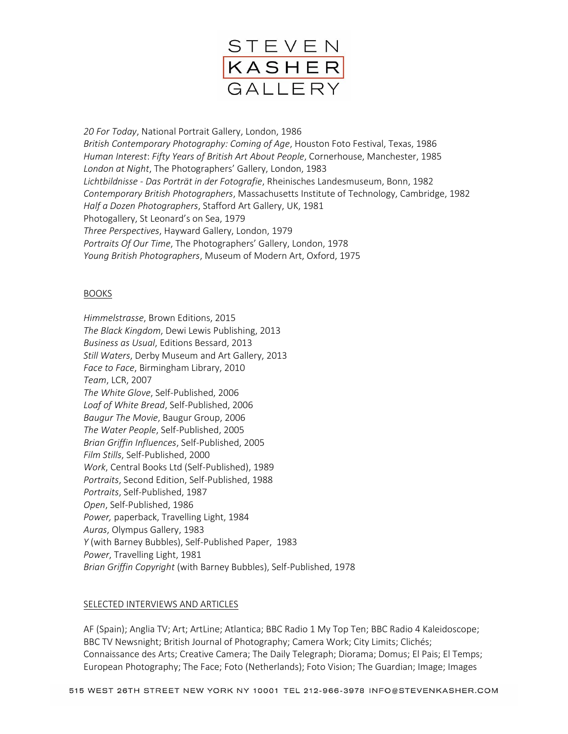

*20 For Today*, National Portrait Gallery, London, 1986 *British Contemporary Photography: Coming of Age*, Houston Foto Festival, Texas, 1986 *Human Interest*: *Fifty Years of British Art About People*, Cornerhouse, Manchester, 1985 *London at Night*, The Photographers' Gallery, London, 1983 *Lichtbildnisse - Das Porträt in der Fotografie*, Rheinisches Landesmuseum, Bonn, 1982 *Contemporary British Photographers*, Massachusetts Institute of Technology, Cambridge, 1982 *Half a Dozen Photographers*, Stafford Art Gallery, UK, 1981 Photogallery, St Leonard's on Sea, 1979 *Three Perspectives*, Hayward Gallery, London, 1979 *Portraits Of Our Time*, The Photographers' Gallery, London, 1978 *Young British Photographers*, Museum of Modern Art, Oxford, 1975

# BOOKS

*Himmelstrasse*, Brown Editions, 2015 *The Black Kingdom*, Dewi Lewis Publishing, 2013 *Business as Usual*, Editions Bessard, 2013 *Still Waters*, Derby Museum and Art Gallery, 2013 *Face to Face*, Birmingham Library, 2010 *Team*, LCR, 2007 *The White Glove*, Self-Published, 2006 *Loaf of White Bread*, Self-Published, 2006 *Baugur The Movie*, Baugur Group, 2006 *The Water People*, Self-Published, 2005 *Brian Griffin Influences*, Self-Published, 2005 *Film Stills*, Self-Published, 2000 *Work*, Central Books Ltd (Self-Published), 1989 *Portraits*, Second Edition, Self-Published, 1988 *Portraits*, Self-Published, 1987 *Open*, Self-Published, 1986 *Power,* paperback, Travelling Light, 1984 *Auras*, Olympus Gallery, 1983 *Y* (with Barney Bubbles), Self-Published Paper, 1983 *Power*, Travelling Light, 1981 *Brian Griffin Copyright* (with Barney Bubbles), Self-Published, 1978

#### SELECTED INTERVIEWS AND ARTICLES

AF (Spain); Anglia TV; Art; ArtLine; Atlantica; BBC Radio 1 My Top Ten; BBC Radio 4 Kaleidoscope; BBC TV Newsnight; British Journal of Photography; Camera Work; City Limits; Clichés; Connaissance des Arts; Creative Camera; The Daily Telegraph; Diorama; Domus; El Pais; El Temps; European Photography; The Face; Foto (Netherlands); Foto Vision; The Guardian; Image; Images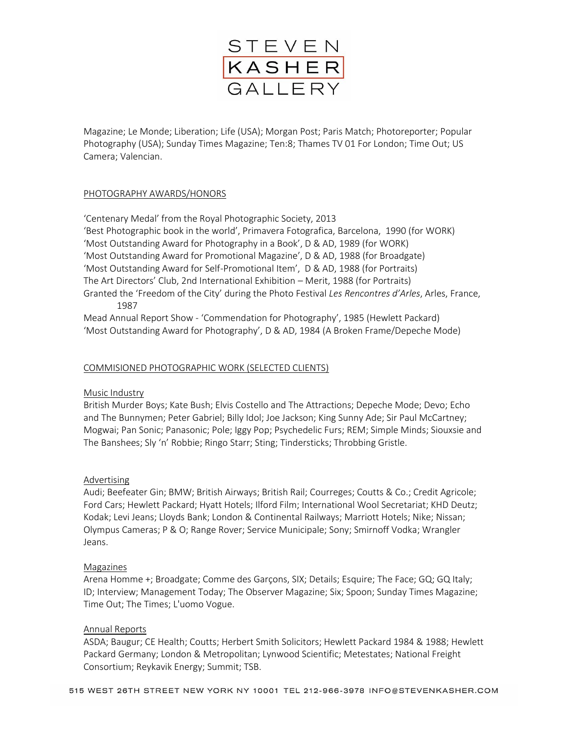

Magazine; Le Monde; Liberation; Life (USA); Morgan Post; Paris Match; Photoreporter; Popular Photography (USA); Sunday Times Magazine; Ten:8; Thames TV 01 For London; Time Out; US Camera; Valencian.

# PHOTOGRAPHY AWARDS/HONORS

'Centenary Medal' from the Royal Photographic Society, 2013 'Best Photographic book in the world', Primavera Fotografica, Barcelona, 1990 (for WORK) 'Most Outstanding Award for Photography in a Book', D & AD, 1989 (for WORK) 'Most Outstanding Award for Promotional Magazine', D & AD, 1988 (for Broadgate) 'Most Outstanding Award for Self-Promotional Item', D & AD, 1988 (for Portraits) The Art Directors' Club, 2nd International Exhibition – Merit, 1988 (for Portraits) Granted the 'Freedom of the City' during the Photo Festival *Les Rencontres d'Arles*, Arles, France, 1987

Mead Annual Report Show - 'Commendation for Photography', 1985 (Hewlett Packard) 'Most Outstanding Award for Photography', D & AD, 1984 (A Broken Frame/Depeche Mode)

### COMMISIONED PHOTOGRAPHIC WORK (SELECTED CLIENTS)

#### Music Industry

British Murder Boys; Kate Bush; Elvis Costello and The Attractions; Depeche Mode; Devo; Echo and The Bunnymen; Peter Gabriel; Billy Idol; Joe Jackson; King Sunny Ade; Sir Paul McCartney; Mogwai; Pan Sonic; Panasonic; Pole; Iggy Pop; Psychedelic Furs; REM; Simple Minds; Siouxsie and The Banshees; Sly 'n' Robbie; Ringo Starr; Sting; Tindersticks; Throbbing Gristle.

#### Advertising

Audi; Beefeater Gin; BMW; British Airways; British Rail; Courreges; Coutts & Co.; Credit Agricole; Ford Cars; Hewlett Packard; Hyatt Hotels; Ilford Film; International Wool Secretariat; KHD Deutz; Kodak; Levi Jeans; Lloyds Bank; London & Continental Railways; Marriott Hotels; Nike; Nissan; Olympus Cameras; P & O; Range Rover; Service Municipale; Sony; Smirnoff Vodka; Wrangler Jeans.

#### Magazines

Arena Homme +; Broadgate; Comme des Garçons, SIX; Details; Esquire; The Face; GQ; GQ Italy; ID; Interview; Management Today; The Observer Magazine; Six; Spoon; Sunday Times Magazine; Time Out; The Times; L'uomo Vogue.

#### Annual Reports

ASDA; Baugur; CE Health; Coutts; Herbert Smith Solicitors; Hewlett Packard 1984 & 1988; Hewlett Packard Germany; London & Metropolitan; Lynwood Scientific; Metestates; National Freight Consortium; Reykavik Energy; Summit; TSB.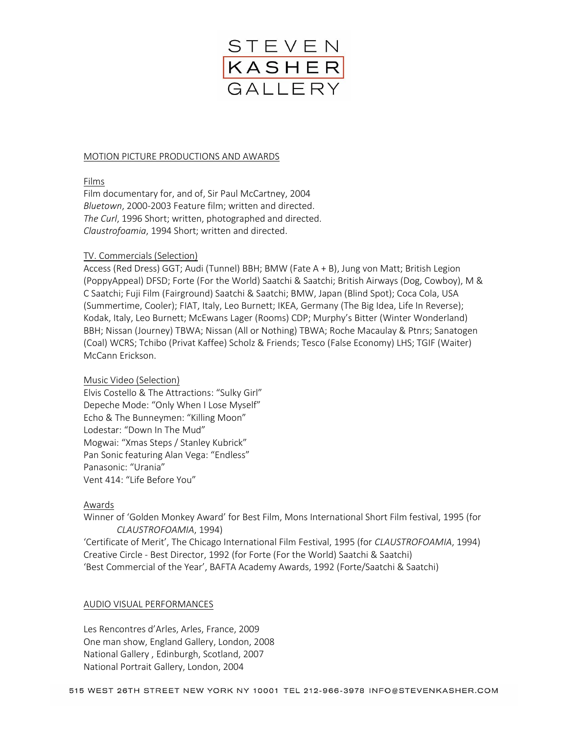

### MOTION PICTURE PRODUCTIONS AND AWARDS

### Films

Film documentary for, and of, Sir Paul McCartney, 2004 *Bluetown*, 2000-2003 Feature film; written and directed. *The Curl*, 1996 Short; written, photographed and directed. *Claustrofoamia*, 1994 Short; written and directed.

### TV. Commercials (Selection)

Access (Red Dress) GGT; Audi (Tunnel) BBH; BMW (Fate A + B), Jung von Matt; British Legion (PoppyAppeal) DFSD; Forte (For the World) Saatchi & Saatchi; British Airways (Dog, Cowboy), M & C Saatchi; Fuji Film (Fairground) Saatchi & Saatchi; BMW, Japan (Blind Spot); Coca Cola, USA (Summertime, Cooler); FIAT, Italy, Leo Burnett; IKEA, Germany (The Big Idea, Life In Reverse); Kodak, Italy, Leo Burnett; McEwans Lager (Rooms) CDP; Murphy's Bitter (Winter Wonderland) BBH; Nissan (Journey) TBWA; Nissan (All or Nothing) TBWA; Roche Macaulay & Ptnrs; Sanatogen (Coal) WCRS; Tchibo (Privat Kaffee) Scholz & Friends; Tesco (False Economy) LHS; TGIF (Waiter) McCann Erickson.

# Music Video (Selection)

Elvis Costello & The Attractions: "Sulky Girl" Depeche Mode: "Only When I Lose Myself" Echo & The Bunneymen: "Killing Moon" Lodestar: "Down In The Mud" Mogwai: "Xmas Steps / Stanley Kubrick" Pan Sonic featuring Alan Vega: "Endless" Panasonic: "Urania" Vent 414: "Life Before You"

# Awards

Winner of 'Golden Monkey Award' for Best Film, Mons International Short Film festival, 1995 (for *CLAUSTROFOAMIA*, 1994)

'Certificate of Merit', The Chicago International Film Festival, 1995 (for *CLAUSTROFOAMIA*, 1994) Creative Circle - Best Director, 1992 (for Forte (For the World) Saatchi & Saatchi) 'Best Commercial of the Year', BAFTA Academy Awards, 1992 (Forte/Saatchi & Saatchi)

# AUDIO VISUAL PERFORMANCES

Les Rencontres d'Arles, Arles, France, 2009 One man show, England Gallery, London, 2008 National Gallery , Edinburgh, Scotland, 2007 National Portrait Gallery, London, 2004